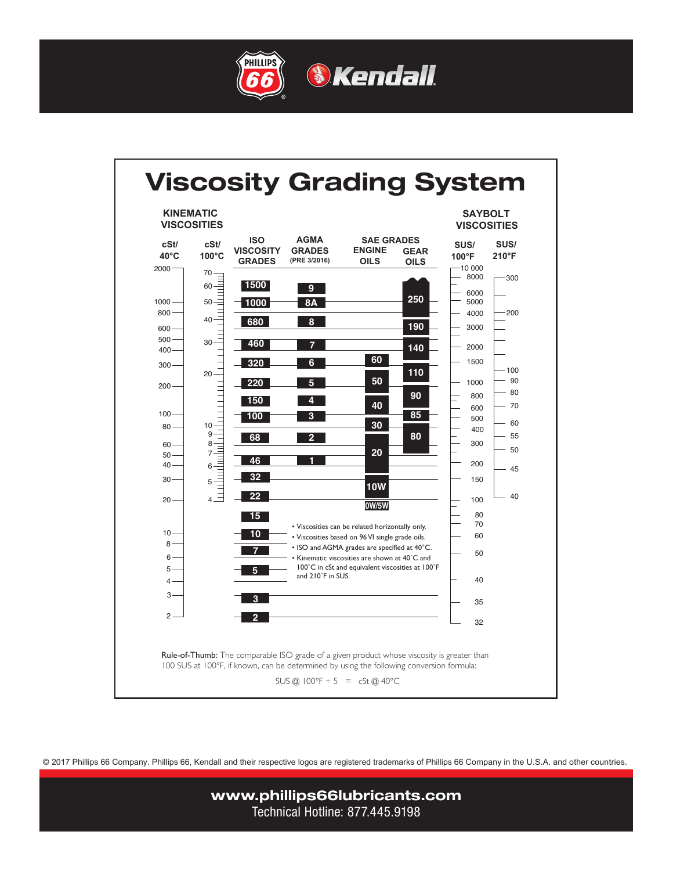





© 2017 Phillips 66 Company. Phillips 66, Kendall and their respective logos are registered trademarks of Phillips 66 Company in the U.S.A. and other countries.

www.phillips66lubricants.com Technical Hotline: 877.445.9198